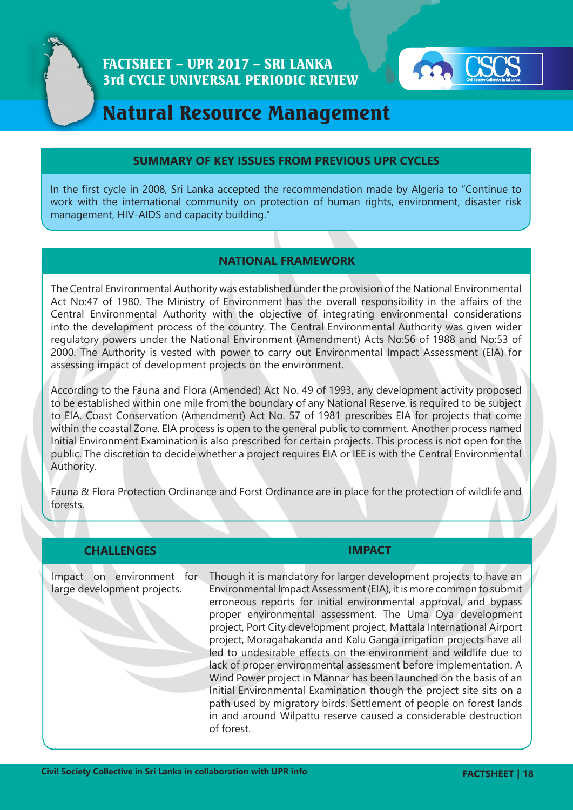

# FACTSHEET – UPR 2017 – SRI LANKA 3rd CYCLE UNIVERSAL PERIODIC REVIEW



# Natural Resource Management

### **SUMMARY OF KEY ISSUES FROM PREVIOUS UPR CYCLES**

In the first cycle in 2008, Sri Lanka accepted the recommendation made by Algeria to "Continue to work with the international community on protection of human rights, environment, disaster risk management, HIV-AIDS and capacity building."

## **NATIONAL FRAMEWORK**

The Central Environmental Authority was established under the provision of the National Environmental Act No:47 of 1980. The Ministry of Environment has the overall responsibility in the affairs of the Central Environmental Authority with the objective of integrating environmental considerations into the development process of the country. The Central Environmental Authority was given wider regulatory powers under the National Environment (Amendment) Acts No:56 of 1988 and No:53 of 2000. The Authority is vested with power to carry out Environmental Impact Assessment (EIA) for assessing impact of development projects on the environment.

According to the Fauna and Flora (Amended) Act No. 49 of 1993, any development activity proposed to be established within one mile from the boundary of any National Reserve, is required to be subject to EIA. Coast Conservation (Amendment) Act No. 57 of 1981 prescribes EIA for projects that come within the coastal Zone. EIA process is open to the general public to comment. Another process named Initial Environment Examination is also prescribed for certain projects. This process is not open for the public. The discretion to decide whether a project requires EIA or IEE is with the Central Environmental Authority.

Fauna & Flora Protection Ordinance and Forst Ordinance are in place for the protection of wildlife and forests.

| <b>CHALLENGES</b>                                        | <b>IMPACT</b>                                                                                                                                                                                                                                                                                                                                                                                                                                                                                                                                                                                                                                                                                                                                                                                                                                                       |
|----------------------------------------------------------|---------------------------------------------------------------------------------------------------------------------------------------------------------------------------------------------------------------------------------------------------------------------------------------------------------------------------------------------------------------------------------------------------------------------------------------------------------------------------------------------------------------------------------------------------------------------------------------------------------------------------------------------------------------------------------------------------------------------------------------------------------------------------------------------------------------------------------------------------------------------|
| Impact on environment for<br>large development projects. | Though it is mandatory for larger development projects to have an<br>Environmental Impact Assessment (EIA), it is more common to submit<br>erroneous reports for initial environmental approval, and bypass<br>proper environmental assessment. The Uma Oya development<br>project, Port City development project, Mattala International Airport<br>project, Moragahakanda and Kalu Ganga irrigation projects have all<br>led to undesirable effects on the environment and wildlife due to<br>lack of proper environmental assessment before implementation. A<br>Wind Power project in Mannar has been launched on the basis of an<br>Initial Environmental Examination though the project site sits on a<br>path used by migratory birds. Settlement of people on forest lands<br>in and around Wilpattu reserve caused a considerable destruction<br>of forest. |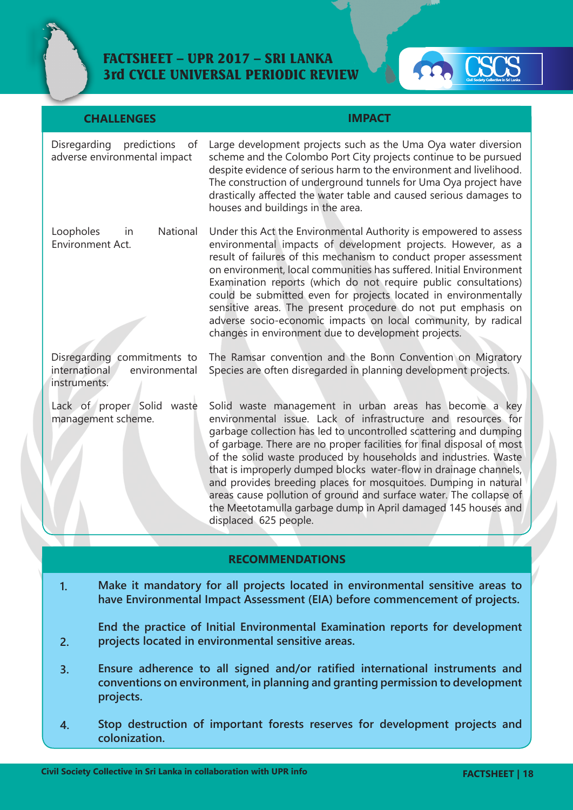



| <b>CHALLENGES</b>                                                             | <b>IMPACT</b>                                                                                                                                                                                                                                                                                                                                                                                                                                                                                                                                                                                                                                    |
|-------------------------------------------------------------------------------|--------------------------------------------------------------------------------------------------------------------------------------------------------------------------------------------------------------------------------------------------------------------------------------------------------------------------------------------------------------------------------------------------------------------------------------------------------------------------------------------------------------------------------------------------------------------------------------------------------------------------------------------------|
| Disregarding<br>predictions<br>of<br>adverse environmental impact             | Large development projects such as the Uma Oya water diversion<br>scheme and the Colombo Port City projects continue to be pursued<br>despite evidence of serious harm to the environment and livelihood.<br>The construction of underground tunnels for Uma Oya project have<br>drastically affected the water table and caused serious damages to<br>houses and buildings in the area.                                                                                                                                                                                                                                                         |
| National<br>Loopholes<br>in<br>Environment Act.                               | Under this Act the Environmental Authority is empowered to assess<br>environmental impacts of development projects. However, as a<br>result of failures of this mechanism to conduct proper assessment<br>on environment, local communities has suffered. Initial Environment<br>Examination reports (which do not require public consultations)<br>could be submitted even for projects located in environmentally<br>sensitive areas. The present procedure do not put emphasis on<br>adverse socio-economic impacts on local community, by radical<br>changes in environment due to development projects.                                     |
| Disregarding commitments to<br>international<br>environmental<br>instruments. | The Ramsar convention and the Bonn Convention on Migratory<br>Species are often disregarded in planning development projects.                                                                                                                                                                                                                                                                                                                                                                                                                                                                                                                    |
| Lack of proper Solid<br>waste<br>management scheme.                           | Solid waste management in urban areas has become a key<br>environmental issue. Lack of infrastructure and resources for<br>garbage collection has led to uncontrolled scattering and dumping<br>of garbage. There are no proper facilities for final disposal of most<br>of the solid waste produced by households and industries. Waste<br>that is improperly dumped blocks water-flow in drainage channels,<br>and provides breeding places for mosquitoes. Dumping in natural<br>areas cause pollution of ground and surface water. The collapse of<br>the Meetotamulla garbage dump in April damaged 145 houses and<br>displaced 625 people. |

#### **RECOMMENDATIONS**

**Make it mandatory for all projects located in environmental sensitive areas to have Environmental Impact Assessment (EIA) before commencement of projects. 1.**

**End the practice of Initial Environmental Examination reports for development projects located in environmental sensitive areas.** 

- **Ensure adherence to all signed and/or ratified international instruments and conventions on environment, in planning and granting permission to development projects. 3.**
- **Stop destruction of important forests reserves for development projects and colonization. 4.**

**2.**